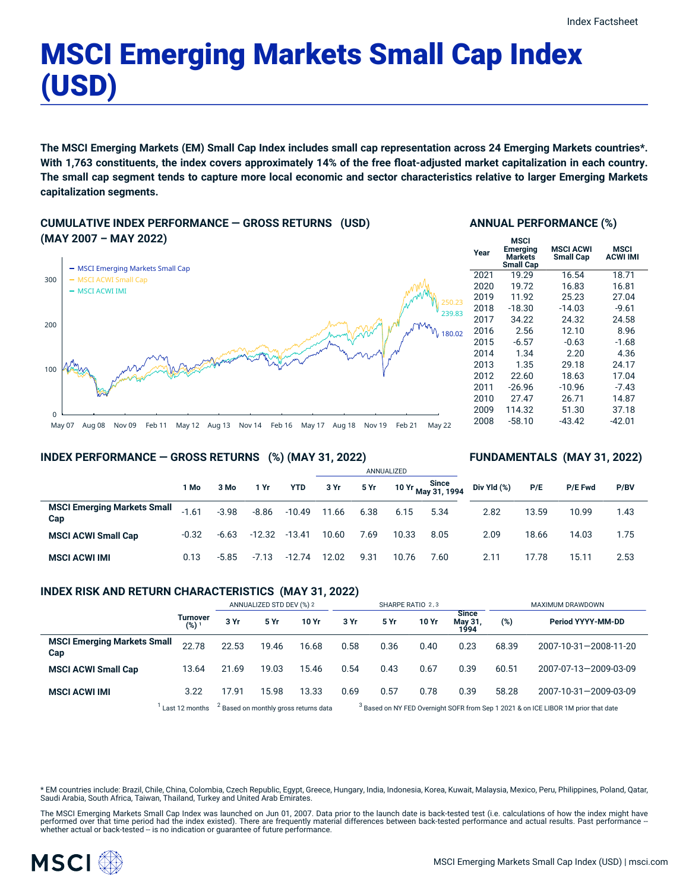# MSCI Emerging Markets Small Cap Index (USD)

The MSCI Emerging Markets (EM) Small Cap Index includes small cap representation across 24 Emerging Markets countries\*. With 1,763 constituents, the index covers approximately 14% of the free float-adjusted market capitalization in each country. The small cap segment tends to capture more local economic and sector characteristics relative to larger Emerging Markets **capitalization segments.**

**CUMULATIVE INDEX PERFORMANCE — GROSS RETURNS (USD) (MAY 2007 – MAY 2022)**



## **ANNUAL PERFORMANCE (%)**

| Year | MSCI<br><b>Emerging</b><br><b>Markets</b><br><b>Small Cap</b> | <b>MSCI ACWI</b><br><b>Small Cap</b> | MSCI<br><b>ACWI IMI</b> |
|------|---------------------------------------------------------------|--------------------------------------|-------------------------|
| 2021 | 19.29                                                         | 16.54                                | 18.71                   |
| 2020 | 19.72                                                         | 16.83                                | 16.81                   |
| 2019 | 11.92                                                         | 25.23                                | 27.04                   |
| 2018 | $-18.30$                                                      | $-14.03$                             | $-9.61$                 |
| 2017 | 34.22                                                         | 24.32                                | 24.58                   |
| 2016 | 2.56                                                          | 12.10                                | 8.96                    |
| 2015 | $-6.57$                                                       | $-0.63$                              | $-1.68$                 |
| 2014 | 1.34                                                          | 2.20                                 | 4.36                    |
| 2013 | 1.35                                                          | 29.18                                | 24.17                   |
| 2012 | 22.60                                                         | 18.63                                | 17.04                   |
| 2011 | $-26.96$                                                      | $-10.96$                             | $-7.43$                 |
| 2010 | 27.47                                                         | 26.71                                | 14.87                   |
| 2009 | 114.32                                                        | 51.30                                | 37.18                   |
| 2008 | $-58.10$                                                      | $-43.42$                             | -42.01                  |

# May 07 Aug 08 Nov 09 Feb 11 May 12 Aug 13 Nov 14 Feb 16 May 17 Aug 18 Nov 19 Feb 21 May 22

## **INDEX PERFORMANCE — GROSS RETURNS (%) (MAY 31, 2022)**

## **FUNDAMENTALS (MAY 31, 2022)**

|                                           |         |         |          |          | ANNUALIZED |      |       |                             |             |       |                |      |  |
|-------------------------------------------|---------|---------|----------|----------|------------|------|-------|-----------------------------|-------------|-------|----------------|------|--|
|                                           | 1 Mo    | 3 Mo    | 1 Yr     | YTD      | 3 Yr       | 5 Yr |       | 10 Yr Since<br>May 31, 1994 | Div Yld (%) | P/E   | <b>P/E Fwd</b> | P/BV |  |
| <b>MSCI Emerging Markets Small</b><br>Cap | $-1.61$ | $-3.98$ | $-8.86$  | $-10.49$ | 11.66      | 6.38 | 6.15  | 5.34                        | 2.82        | 13.59 | 10.99          | 1.43 |  |
| <b>MSCI ACWI Small Cap</b>                | $-0.32$ | $-6.63$ | $-12.32$ | -13.41   | 10.60      | 7.69 | 10.33 | 8.05                        | 2.09        | 18.66 | 14.03          | 1.75 |  |
| <b>MSCI ACWI IMI</b>                      | 0.13    | $-5.85$ | $-7.13$  | -12.74   | 12.02      | 9.31 | 10.76 | 7.60                        | 2.11        | 17.78 | 15.11          | 2.53 |  |

#### **INDEX RISK AND RETURN CHARACTERISTICS (MAY 31, 2022)**

|                                           |                                | ANNUALIZED STD DEV (%) 2 |       |       | SHARPE RATIO 2,3 |      |       |                                 | MAXIMUM DRAWDOWN |                                                                                                                |  |
|-------------------------------------------|--------------------------------|--------------------------|-------|-------|------------------|------|-------|---------------------------------|------------------|----------------------------------------------------------------------------------------------------------------|--|
|                                           | Turnover<br>$(%)$ <sup>1</sup> | 3 Yr                     | 5 Yr  | 10 Yr | 3 Yr             | 5 Yr | 10 Yr | <b>Since</b><br>May 31,<br>1994 | (%)              | Period YYYY-MM-DD                                                                                              |  |
| <b>MSCI Emerging Markets Small</b><br>Cap | 22.78                          | 22.53                    | 19.46 | 16.68 | 0.58             | 0.36 | 0.40  | 0.23                            | 68.39            | 2007-10-31-2008-11-20                                                                                          |  |
| <b>MSCI ACWI Small Cap</b>                | 13.64                          | 21.69                    | 19.03 | 15.46 | 0.54             | 0.43 | 0.67  | 0.39                            | 60.51            | 2007-07-13-2009-03-09                                                                                          |  |
| <b>MSCI ACWI IMI</b>                      | 3.22                           | 17.91                    | 15.98 | 13.33 | 0.69             | 0.57 | 0.78  | 0.39                            | 58.28            | 2007-10-31-2009-03-09                                                                                          |  |
|                                           |                                |                          |       |       |                  |      |       |                                 |                  | 1920 - An Indiana de Maria de La Caracción de Maria de Maria de Maria de Maria de Maria de Maria de Maria de M |  |

 $1$  Last 12 months  $2$  $<sup>2</sup>$  Based on monthly gross returns data</sup>

Based on NY FED Overnight SOFR from Sep 1 2021 & on ICE LIBOR 1M prior that date

\* EM countries include: Brazil, Chile, China, Colombia, Czech Republic, Egypt, Greece, Hungary, India, Indonesia, Korea, Kuwait, Malaysia, Mexico, Peru, Philippines, Poland, Qatar, Saudi Arabia, South Africa, Taiwan, Thailand, Turkey and United Arab Emirates.

The MSCI Emerging Markets Small Cap Index was launched on Jun 01, 2007. Data prior to the launch date is back-tested test (i.e. calculations of how the index might have performed over that time period had the index existed). There are frequently material differences between back-tested performance and actual results. Past performance –<br>whether actual or back-tested – is no indication or g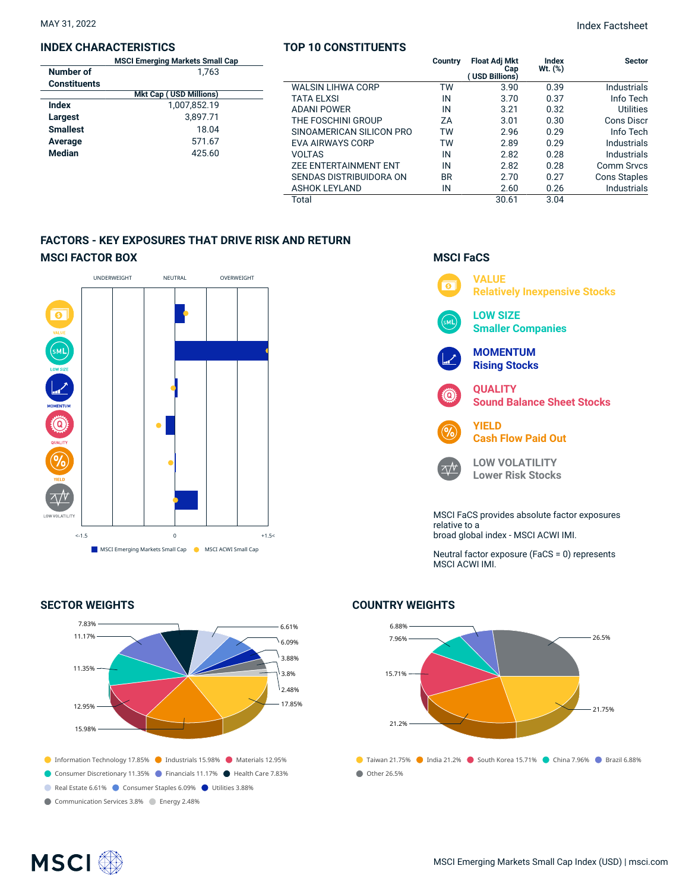## **INDEX CHARACTERISTICS**

|              | <b>MSCI Emerging Markets Small Cap</b> |  |  |  |  |  |
|--------------|----------------------------------------|--|--|--|--|--|
| Number of    | 1.763                                  |  |  |  |  |  |
| Constituents |                                        |  |  |  |  |  |
|              | <b>Mkt Cap (USD Millions)</b>          |  |  |  |  |  |
| Index        | 1,007,852.19                           |  |  |  |  |  |
| Largest      | 3,897.71                               |  |  |  |  |  |
| Smallest     | 18.04                                  |  |  |  |  |  |
| Average      | 571.67                                 |  |  |  |  |  |
| Median       | 425.60                                 |  |  |  |  |  |
|              |                                        |  |  |  |  |  |

## **TOP 10 CONSTITUENTS**

MAY 31, 2022 Index Factsheet

| Cap |                              | Country   | <b>Float Adj Mkt</b><br>Cap<br>(USD Billions) | Index<br>Wt. (%) | <b>Sector</b>       |
|-----|------------------------------|-----------|-----------------------------------------------|------------------|---------------------|
|     | <b>WALSIN LIHWA CORP</b>     | ТW        | 3.90                                          | 0.39             | Industrials         |
|     | <b>TATA ELXSI</b>            | IN        | 3.70                                          | 0.37             | Info Tech           |
|     | <b>ADANI POWER</b>           | IN        | 3.21                                          | 0.32             | Utilities           |
|     | THE FOSCHINI GROUP           | ZΑ        | 3.01                                          | 0.30             | Cons Discr          |
|     | SINOAMERICAN SILICON PRO     | TW        | 2.96                                          | 0.29             | Info Tech           |
|     | <b>EVA AIRWAYS CORP</b>      | TW        | 2.89                                          | 0.29             | Industrials         |
|     | <b>VOLTAS</b>                | IN        | 2.82                                          | 0.28             | Industrials         |
|     | <b>ZEE ENTERTAINMENT ENT</b> | IN        | 2.82                                          | 0.28             | Comm Srvcs          |
|     | SENDAS DISTRIBUIDORA ON      | <b>BR</b> | 2.70                                          | 0.27             | <b>Cons Staples</b> |
|     | <b>ASHOK LEYLAND</b>         | IN        | 2.60                                          | 0.26             | <b>Industrials</b>  |
|     | Total                        |           | 30.61                                         | 3.04             |                     |

# **FACTORS - KEY EXPOSURES THAT DRIVE RISK AND RETURN MSCI FACTOR BOX**



# **SECTOR WEIGHTS**



# **COUNTRY WEIGHTS**



# **MSCI FaCS VALUE**  $\overline{\bullet}$

 $\overline{\wedge}\mathcal{N}$ 





**LOW VOLATILITY Lower Risk Stocks**

MSCI FaCS provides absolute factor exposures relative to a broad global index - MSCI ACWI IMI.

Neutral factor exposure (FaCS = 0) represents MSCI ACWI IMI.